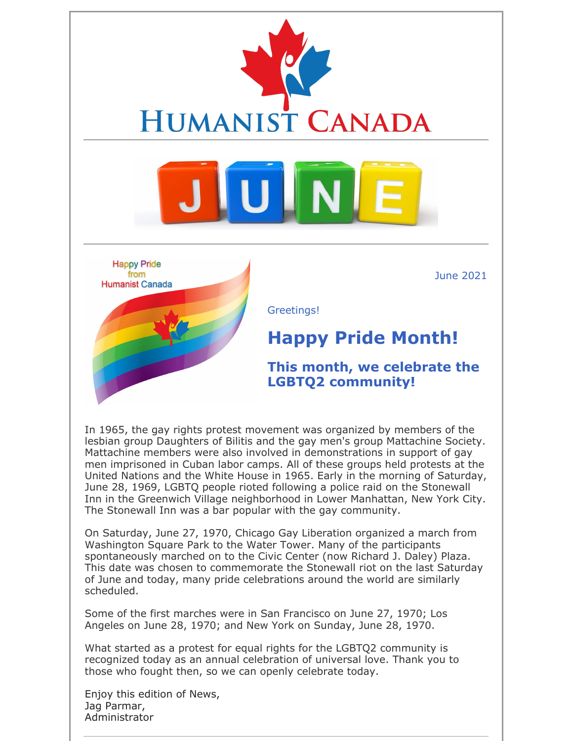

June 2021



Greetings!

### **Happy Pride Month!**

**This month, we celebrate the LGBTQ2 community!**

In 1965, the gay rights protest movement was organized by members of the lesbian group Daughters of Bilitis and the gay men's group Mattachine Society. Mattachine members were also involved in demonstrations in support of gay men imprisoned in Cuban labor camps. All of these groups held protests at the United Nations and the White House in 1965. Early in the morning of Saturday, June 28, 1969, LGBTQ people rioted following a police raid on the Stonewall Inn in the Greenwich Village neighborhood in Lower Manhattan, New York City. The Stonewall Inn was a bar popular with the gay community.

On Saturday, June 27, 1970, Chicago Gay Liberation organized a march from Washington Square Park to the Water Tower. Many of the participants spontaneously marched on to the Civic Center (now Richard J. Daley) Plaza. This date was chosen to commemorate the Stonewall riot on the last Saturday of June and today, many pride celebrations around the world are similarly scheduled.

Some of the first marches were in San Francisco on June 27, 1970; Los Angeles on June 28, 1970; and New York on Sunday, June 28, 1970.

What started as a protest for equal rights for the LGBTQ2 community is recognized today as an annual celebration of universal love. Thank you to those who fought then, so we can openly celebrate today.

Enjoy this edition of News, Jag Parmar, Administrator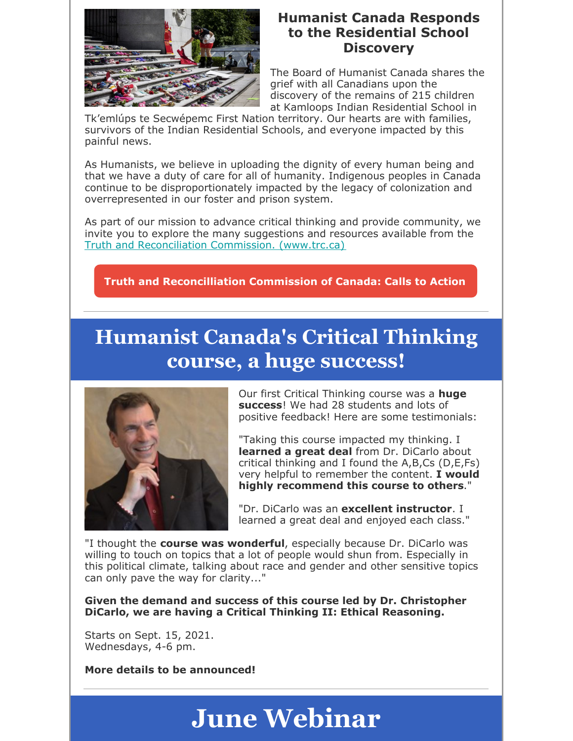

#### **Humanist Canada Responds to the Residential School Discovery**

The Board of Humanist Canada shares the grief with all Canadians upon the discovery of the remains of 215 children at Kamloops Indian Residential School in

Tk'emlúps te Secwépemc First Nation territory. Our hearts are with families, survivors of the Indian Residential Schools, and everyone impacted by this painful news.

As Humanists, we believe in uploading the dignity of every human being and that we have a duty of care for all of humanity. Indigenous peoples in Canada continue to be disproportionately impacted by the legacy of colonization and overrepresented in our foster and prison system.

As part of our mission to advance critical thinking and provide community, we invite you to explore the many suggestions and resources available from the Truth and Reconciliation Commission. (www.trc.ca)

**Truth and Reconcilliation Commission of Canada: Calls to Action**

## **Humanist Canada's Critical Thinking course, a huge success!**



Our first Critical Thinking course was a **huge success**! We had 28 students and lots of positive feedback! Here are some testimonials:

"Taking this course impacted my thinking. I **learned a great deal** from Dr. DiCarlo about critical thinking and I found the A,B,Cs (D,E,Fs) very helpful to remember the content. **I would highly recommend this course to others**."

"Dr. DiCarlo was an **excellent instructor**. I learned a great deal and enjoyed each class."

"I thought the **course was wonderful**, especially because Dr. DiCarlo was willing to touch on topics that a lot of people would shun from. Especially in this political climate, talking about race and gender and other sensitive topics can only pave the way for clarity..."

**Given the demand and success of this course led by Dr. Christopher DiCarlo, we are having a Critical Thinking II: Ethical Reasoning.**

Starts on Sept. 15, 2021. Wednesdays, 4-6 pm.

**More details to be announced!**

## **June Webinar**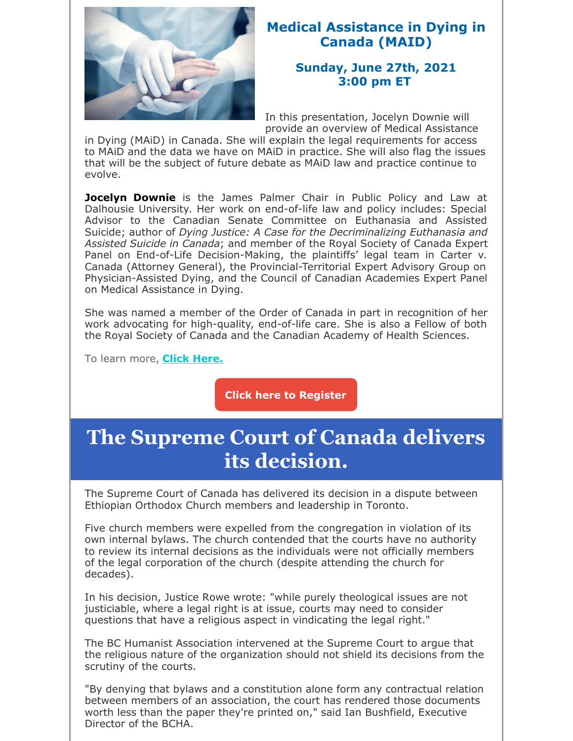

#### **Medical Assistance in Dying in Canada (MAID)**

#### **Sunday, June 27th, 2021 3:00 pm ET**

In this presentation, Jocelyn Downie will provide an overview of Medical Assistance

in Dying (MAiD) in Canada. She will explain the legal requirements for access to MAiD and the data we have on MAiD in practice. She will also flag the issues that will be the subject of future debate as MAiD law and practice continue to evolve.

**Jocelyn Downie** is the James Palmer Chair in Public Policy and Law at Dalhousie University. Her work on end-of-life law and policy includes: Special Advisor to the Canadian Senate Committee on Euthanasia and Assisted Suicide; author of *Dying Justice: A Case for the Decriminalizing Euthanasia and Assisted Suicide in Canada*; and member of the Royal Society of Canada Expert Panel on End-of-Life Decision-Making, the plaintiffs' legal team in Carter v. Canada (Attorney General), the Provincial-Territorial Expert Advisory Group on Physician-Assisted Dying, and the Council of Canadian Academies Expert Panel on Medical Assistance in Dying.

She was named a member of the Order of Canada in part in recognition of her work advocating for high-quality, end-of-life care. She is also a Fellow of both the Royal Society of Canada and the Canadian Academy of Health Sciences.

To learn more, **Click Here.**

**Click here to Register**

## **The Supreme Court of Canada delivers its decision.**

The Supreme Court of Canada has delivered its decision in a dispute between Ethiopian Orthodox Church members and leadership in Toronto.

Five church members were expelled from the congregation in violation of its own internal bylaws. The church contended that the courts have no authority to review its internal decisions as the individuals were not officially members of the legal corporation of the church (despite attending the church for decades).

In his decision, Justice Rowe wrote: "while purely theological issues are not justiciable, where a legal right is at issue, courts may need to consider questions that have a religious aspect in vindicating the legal right."

The BC Humanist Association intervened at the Supreme Court to argue that the religious nature of the organization should not shield its decisions from the scrutiny of the courts.

"By denying that bylaws and a constitution alone form any contractual relation between members of an association, the court has rendered those documents worth less than the paper they're printed on," said Ian Bushfield, Executive Director of the BCHA.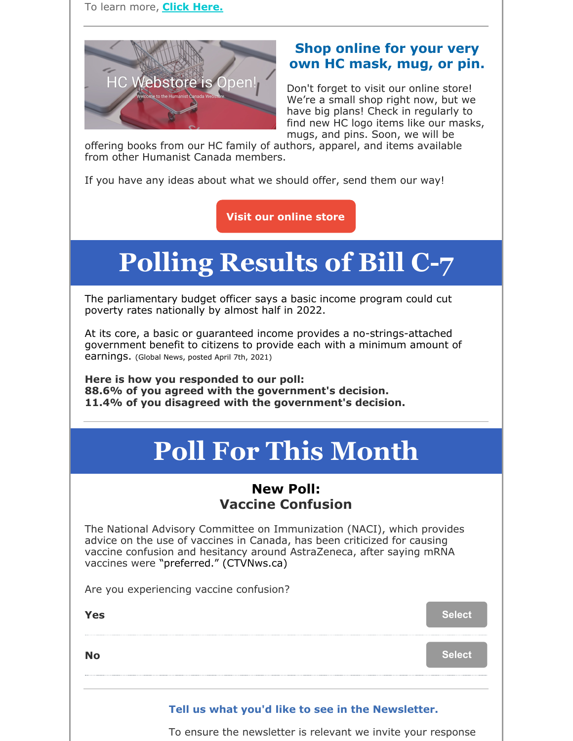

#### **Shop online for your very own HC mask, mug, or pin.**

Don't forget to visit our online store! We're a small shop right now, but we have big plans! Check in regularly to find new HC logo items like our masks, mugs, and pins. Soon, we will be

offering books from our HC family of authors, apparel, and items available from other Humanist Canada members.

If you have any ideas about what we should offer, send them our way!

**Visit our online store**

# **Polling Results of Bill C-7**

The parliamentary budget officer says a basic income program could cut poverty rates nationally by almost half in 2022.

At its core, a basic or guaranteed income provides a no-strings-attached government benefit to citizens to provide each with a minimum amount of earnings. (Global News, posted April 7th, 2021)

**Here is how you responded to our poll: 88.6% of you agreed with the government's decision. 11.4% of you disagreed with the government's decision.**

# **Poll For This Month**

#### **New Poll: Vaccine Confusion**

The National Advisory Committee on Immunization (NACI), which provides advice on the use of vaccines in Canada, has been criticized for causing vaccine confusion and hesitancy around AstraZeneca, after saying mRNA vaccines were "preferred." (CTVNws.ca)

Are you experiencing vaccine confusion?

**Yes** Select

**No Select**

#### **Tell us what you'd like to see in the Newsletter.**

To ensure the newsletter is relevant we invite your response